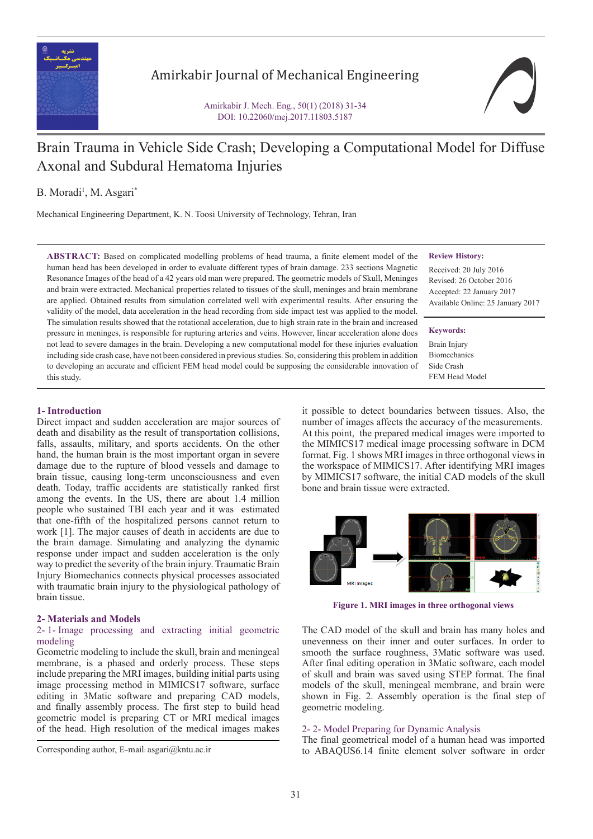

## Amirkabir Journal of Mechanical Engineering

Amirkabir J. Mech. Eng., 50(1) (2018) 31-34 DOI: 10.22060/mej.2017.11803.5187



# Brain Trauma in Vehicle Side Crash; Developing a Computational Model for Diffuse Axonal and Subdural Hematoma Injuries

B. Moradi<sup>1</sup>, M. Asgari<sup>\*</sup>

Mechanical Engineering Department, K. N. Toosi University of Technology, Tehran, Iran

**ABSTRACT:** Based on complicated modelling problems of head trauma, a finite element model of the human head has been developed in order to evaluate different types of brain damage. 233 sections Magnetic Resonance Images of the head of a 42 years old man were prepared. The geometric models of Skull, Meninges and brain were extracted. Mechanical properties related to tissues of the skull, meninges and brain membrane are applied. Obtained results from simulation correlated well with experimental results. After ensuring the validity of the model, data acceleration in the head recording from side impact test was applied to the model. The simulation results showed that the rotational acceleration, due to high strain rate in the brain and increased pressure in meninges, is responsible for rupturing arteries and veins. However, linear acceleration alone does not lead to severe damages in the brain. Developing a new computational model for these injuries evaluation including side crash case, have not been considered in previous studies. So, considering this problem in addition to developing an accurate and efficient FEM head model could be supposing the considerable innovation of this study.

#### **Review History:**

Received: 20 July 2016 Revised: 26 October 2016 Accepted: 22 January 2017 Available Online: 25 January 2017

**Keywords:**

Brain Injury Biomechanics Side Crash FEM Head Model

## **1- Introduction**

Direct impact and sudden acceleration are major sources of death and disability as the result of transportation collisions, falls, assaults, military, and sports accidents. On the other hand, the human brain is the most important organ in severe damage due to the rupture of blood vessels and damage to brain tissue, causing long-term unconsciousness and even death. Today, traffic accidents are statistically ranked first among the events. In the US, there are about 1.4 million people who sustained TBI each year and it was estimated that one-fifth of the hospitalized persons cannot return to work [1]. The major causes of death in accidents are due to the brain damage. Simulating and analyzing the dynamic response under impact and sudden acceleration is the only way to predict the severity of the brain injury. Traumatic Brain Injury Biomechanics connects physical processes associated with traumatic brain injury to the physiological pathology of brain tissue.

#### **2- Materials and Models**

#### 2- 1- Image processing and extracting initial geometric modeling

Geometric modeling to include the skull, brain and meningeal membrane, is a phased and orderly process. These steps include preparing the MRI images, building initial parts using image processing method in MIMICS17 software, surface editing in 3Matic software and preparing CAD models, and finally assembly process. The first step to build head geometric model is preparing CT or MRI medical images of the head. High resolution of the medical images makes it possible to detect boundaries between tissues. Also, the number of images affects the accuracy of the measurements. At this point, the prepared medical images were imported to the MIMICS17 medical image processing software in DCM format. Fig. 1 shows MRI images in three orthogonal views in the workspace of MIMICS17. After identifying MRI images by MIMICS17 software, the initial CAD models of the skull bone and brain tissue were extracted.



**Figure 1. MRI images in three orthogonal views**

The CAD model of the skull and brain has many holes and unevenness on their inner and outer surfaces. In order to smooth the surface roughness, 3Matic software was used. After final editing operation in 3Matic software, each model of skull and brain was saved using STEP format. The final models of the skull, meningeal membrane, and brain were shown in Fig. 2. Assembly operation is the final step of geometric modeling.

#### 2- 2- Model Preparing for Dynamic Analysis

The final geometrical model of a human head was imported Corresponding author, E-mail: asgari@kntu.ac.ir to ABAQUS6.14 finite element solver software in order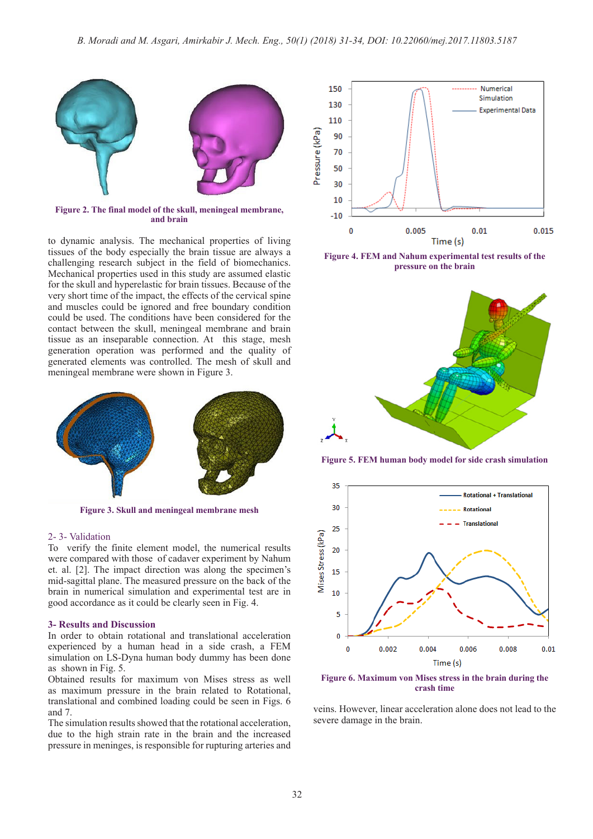

**Figure 2. The final model of the skull, meningeal membrane, and brain**

to dynamic analysis. The mechanical properties of living tissues of the body especially the brain tissue are always a challenging research subject in the field of biomechanics. Mechanical properties used in this study are assumed elastic for the skull and hyperelastic for brain tissues. Because of the very short time of the impact, the effects of the cervical spine and muscles could be ignored and free boundary condition could be used. The conditions have been considered for the contact between the skull, meningeal membrane and brain tissue as an inseparable connection. At this stage, mesh generation operation was performed and the quality of generated elements was controlled. The mesh of skull and meningeal membrane were shown in Figure 3.



**Figure 3. Skull and meningeal membrane mesh** 

#### 2- 3- Validation

To verify the finite element model, the numerical results were compared with those of cadaver experiment by Nahum et. al. [2]. The impact direction was along the specimen's mid-sagittal plane. The measured pressure on the back of the brain in numerical simulation and experimental test are in good accordance as it could be clearly seen in Fig. 4.

#### **3- Results and Discussion**

In order to obtain rotational and translational acceleration experienced by a human head in a side crash, a FEM simulation on LS-Dyna human body dummy has been done as shown in Fig. 5.

Obtained results for maximum von Mises stress as well as maximum pressure in the brain related to Rotational, translational and combined loading could be seen in Figs. 6 and 7.

The simulation results showed that the rotational acceleration, due to the high strain rate in the brain and the increased pressure in meninges, is responsible for rupturing arteries and



**Figure 4. FEM and Nahum experimental test results of the pressure on the brain**



**Figure 5. FEM human body model for side crash simulation**



**Figure 6. Maximum von Mises stress in the brain during the crash time**

veins. However, linear acceleration alone does not lead to the severe damage in the brain.